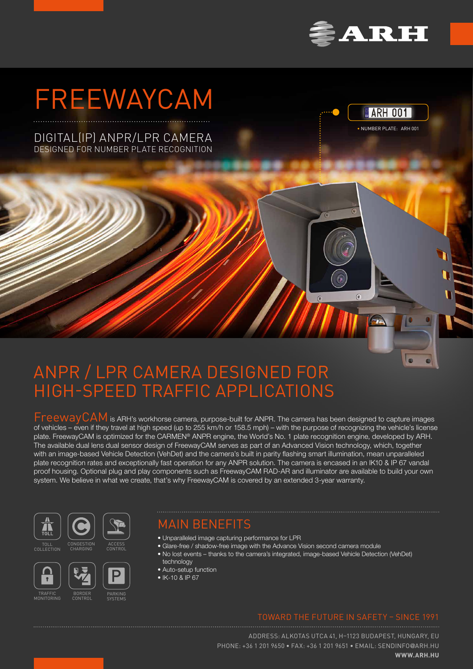

# FREEWAYCAM





 $\sqrt{a}$ 

 $\alpha$ 

# ANPR / LPR CAMERA DESIGNED FOR HIGH-SPEED TRAFFIC APPLICATIONS

FreewayCAM is ARH's workhorse camera, purpose-built for ANPR. The camera has been designed to capture images of vehicles – even if they travel at high speed (up to 255 km/h or 158.5 mph) – with the purpose of recognizing the vehicle's license plate. FreewayCAM is optimized for the CARMEN® ANPR engine, the World's No. 1 plate recognition engine, developed by ARH. The available dual lens dual sensor design of FreewayCAM serves as part of an Advanced Vision technology, which, together with an image-based Vehicle Detection (VehDet) and the camera's built in parity flashing smart illumination, mean unparalleled plate recognition rates and exceptionally fast operation for any ANPR solution. The camera is encased in an IK10 & IP 67 vandal proof housing. Optional plug and play components such as FreewayCAM RAD-AR and illuminator are available to build your own system. We believe in what we create, that's why FreewayCAM is covered by an extended 3-year warranty.





CONGESTION CHARGING

TOLL COLLECTION



TRAFFIC MONITORING



ACCESS CONTROL

BORDER

# MAIN BENEFITS

- Unparalleled image capturing performance for LPR
- Glare-free / shadow-free image with the Advance Vision second camera module
- No lost events thanks to the camera's integrated, image-based Vehicle Detection (VehDet) technology
- Auto-setup function
- IK-10 & IP 67

### TOWARD THE FUTURE IN SAFETY – SINCE 1991

ADDRESS: ALKOTAS UTCA 41, H–1123 BUDAPEST, HUNGARY, EU PHONE: +36 1 201 9650 • FAX: +36 1 201 9651 • EMAIL: SENDINFO@ARH.HU **WWW.ARH.HU**